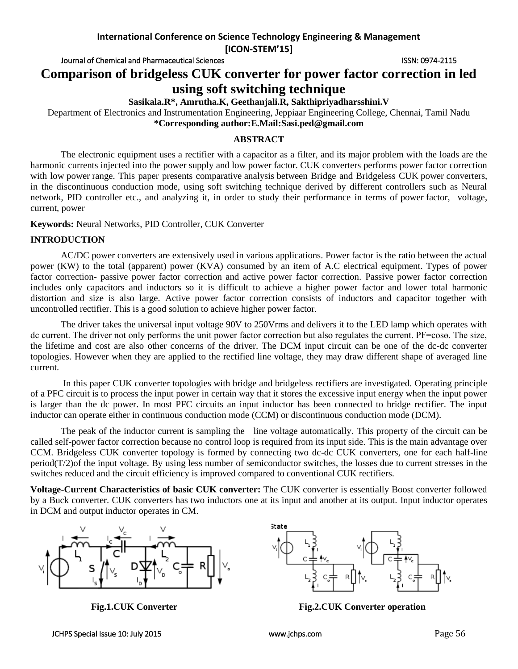**International Conference on Science Technology Engineering & Management**

**[ICON-STEM'15]**

Journal of Chemical and Pharmaceutical Sciences ISSN: 0974-2115

**Comparison of bridgeless CUK converter for power factor correction in led** 

# **using soft switching technique**

**Sasikala.R\*, Amrutha.K, Geethanjali.R, Sakthipriyadharsshini.V**

Department of Electronics and Instrumentation Engineering, Jeppiaar Engineering College, Chennai, Tamil Nadu **\*Corresponding author:E.Mail:Sasi.ped@gmail.com**

## **ABSTRACT**

The electronic equipment uses a rectifier with a capacitor as a filter, and its major problem with the loads are the harmonic currents injected into the power supply and low power factor. CUK converters performs power factor correction with low power range. This paper presents comparative analysis between Bridge and Bridgeless CUK power converters, in the discontinuous conduction mode, using soft switching technique derived by different controllers such as Neural network, PID controller etc., and analyzing it, in order to study their performance in terms of power factor, voltage, current, power

**Keywords:** Neural Networks, PID Controller, CUK Converter

## **INTRODUCTION**

AC/DC power converters are extensively used in various applications. Power factor is the ratio between the actual power (KW) to the total (apparent) power (KVA) consumed by an item of A.C electrical equipment. Types of power factor correction- passive power factor correction and active power factor correction. Passive power factor correction includes only capacitors and inductors so it is difficult to achieve a higher power factor and lower total harmonic distortion and size is also large. Active power factor correction consists of inductors and capacitor together with uncontrolled rectifier. This is a good solution to achieve higher power factor.

The driver takes the universal input voltage 90V to 250Vrms and delivers it to the LED lamp which operates with dc current. The driver not only performs the unit power factor correction but also regulates the current. PF=cose. The size, the lifetime and cost are also other concerns of the driver. The DCM input circuit can be one of the dc-dc converter topologies. However when they are applied to the rectified line voltage, they may draw different shape of averaged line current.

In this paper CUK converter topologies with bridge and bridgeless rectifiers are investigated. Operating principle of a PFC circuit is to process the input power in certain way that it stores the excessive input energy when the input power is larger than the dc power. In most PFC circuits an input inductor has been connected to bridge rectifier. The input inductor can operate either in continuous conduction mode (CCM) or discontinuous conduction mode (DCM).

The peak of the inductor current is sampling the line voltage automatically. This property of the circuit can be called self-power factor correction because no control loop is required from its input side. This is the main advantage over CCM. Bridgeless CUK converter topology is formed by connecting two dc-dc CUK converters, one for each half-line  $period(T/2)$  of the input voltage. By using less number of semiconductor switches, the losses due to current stresses in the switches reduced and the circuit efficiency is improved compared to conventional CUK rectifiers.

**Voltage-Current Characteristics of basic CUK converter:** The CUK converter is essentially Boost converter followed by a Buck converter. CUK converters has two inductors one at its input and another at its output. Input inductor operates in DCM and output inductor operates in CM.





**Fig.1.CUK Converter Fig.2.CUK Converter operation**

JCHPS Special Issue 10: July 2015 www.jchps.com Page 56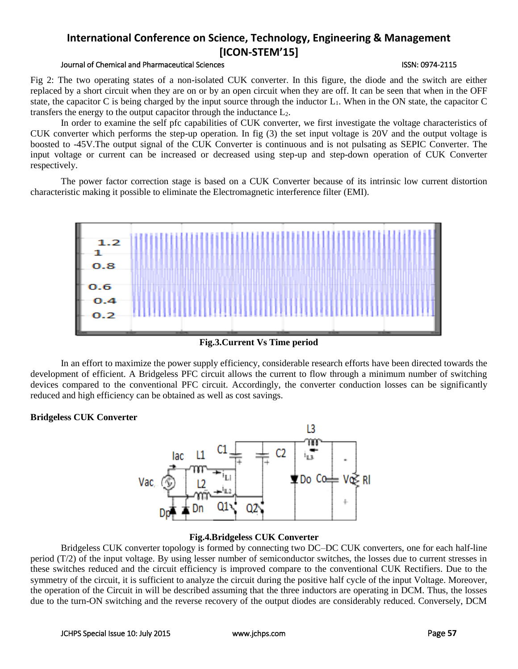#### Journal of Chemical and Pharmaceutical Sciences ISSN: 0974-2115

Fig 2: The two operating states of a non-isolated CUK converter. In this figure, the diode and the switch are either replaced by a short circuit when they are on or by an open circuit when they are off. It can be seen that when in the OFF state, the capacitor C is being charged by the input source through the inductor  $L_1$ . When in the ON state, the capacitor C transfers the energy to the output capacitor through the inductance L2.

In order to examine the self pfc capabilities of CUK converter, we first investigate the voltage characteristics of CUK converter which performs the step-up operation. In fig (3) the set input voltage is 20V and the output voltage is boosted to -45V.The output signal of the CUK Converter is continuous and is not pulsating as SEPIC Converter. The input voltage or current can be increased or decreased using step-up and step-down operation of CUK Converter respectively.

The power factor correction stage is based on a CUK Converter because of its intrinsic low current distortion characteristic making it possible to eliminate the Electromagnetic interference filter (EMI).



**Fig.3.Current Vs Time period**

In an effort to maximize the power supply efficiency, considerable research efforts have been directed towards the development of efficient. A Bridgeless PFC circuit allows the current to flow through a minimum number of switching devices compared to the conventional PFC circuit. Accordingly, the converter conduction losses can be significantly reduced and high efficiency can be obtained as well as cost savings.

## **Bridgeless CUK Converter**



## **Fig.4.Bridgeless CUK Converter**

Bridgeless CUK converter topology is formed by connecting two DC–DC CUK converters, one for each half-line period (T/2) of the input voltage. By using lesser number of semiconductor switches, the losses due to current stresses in these switches reduced and the circuit efficiency is improved compare to the conventional CUK Rectifiers. Due to the symmetry of the circuit, it is sufficient to analyze the circuit during the positive half cycle of the input Voltage. Moreover, the operation of the Circuit in will be described assuming that the three inductors are operating in DCM. Thus, the losses due to the turn-ON switching and the reverse recovery of the output diodes are considerably reduced. Conversely, DCM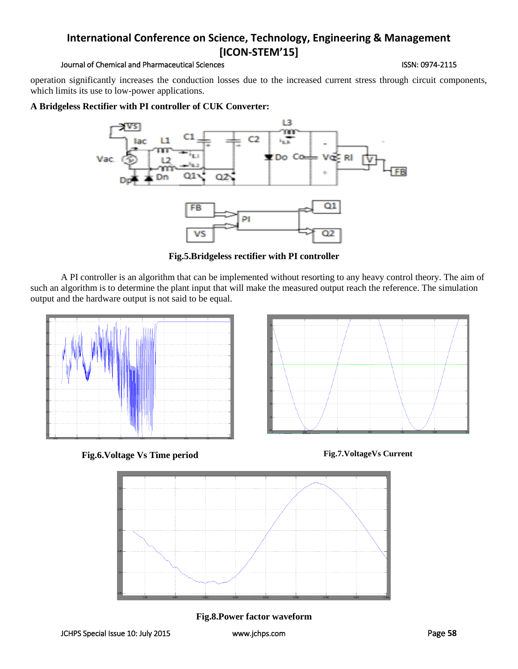#### Journal of Chemical and Pharmaceutical Sciences **ISSN: 0974-2115** ISSN: 0974-2115

operation significantly increases the conduction losses due to the increased current stress through circuit components, which limits its use to low-power applications.

## **A Bridgeless Rectifier with PI controller of CUK Converter:**



**Fig.5.Bridgeless rectifier with PI controller** 

A PI controller is an algorithm that can be implemented without resorting to any heavy control theory. The aim of such an algorithm is to determine the plant input that will make the measured output reach the reference. The simulation output and the hardware output is not said to be equal.



**Fig.6.Voltage Vs Time period Fig.7.VoltageVs Current**





**Fig.8.Power factor waveform**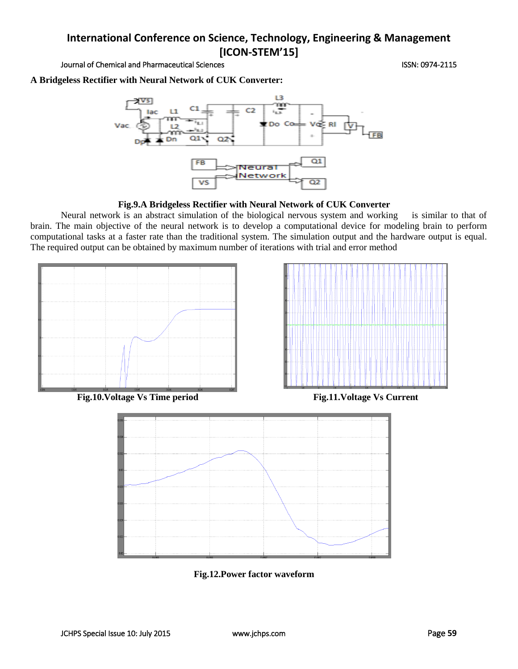Journal of Chemical and Pharmaceutical Sciences **ISSN: 0974-2115** ISSN: 0974-2115

**A Bridgeless Rectifier with Neural Network of CUK Converter:**



**Fig.9.A Bridgeless Rectifier with Neural Network of CUK Converter**

Neural network is an abstract simulation of the biological nervous system and working is similar to that of brain. The main objective of the neural network is to develop a computational device for modeling brain to perform computational tasks at a faster rate than the traditional system. The simulation output and the hardware output is equal. The required output can be obtained by maximum number of iterations with trial and error method





**Fig.12.Power factor waveform**